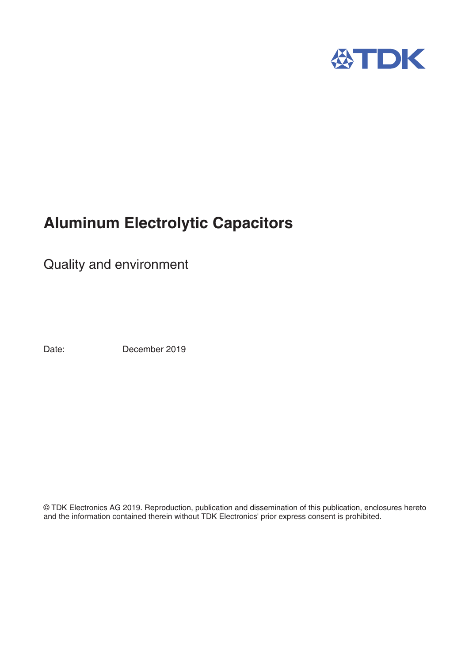

# **Aluminum Electrolytic Capacitors**

Quality and environment

Date: December 2019

© TDK Electronics AG 2019. Reproduction, publication and dissemination of this publication, enclosures hereto and the information contained therein without TDK Electronics' prior express consent is prohibited.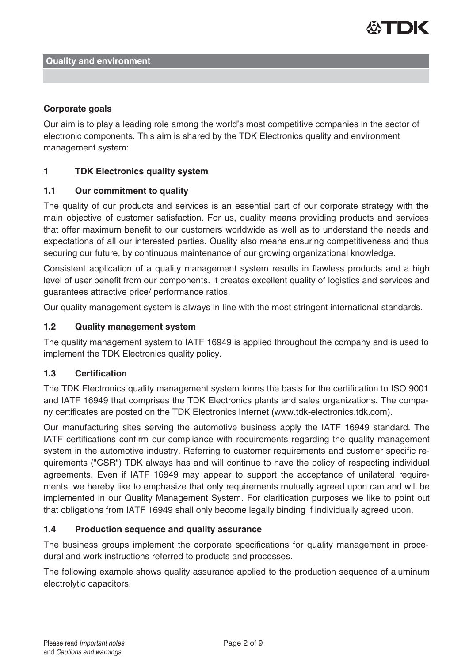

#### **Corporate goals**

Our aim is to play a leading role among the world's most competitive companies in the sector of electronic components. This aim is shared by the TDK Electronics quality and environment management system:

## **1 TDK Electronics quality system**

## **1.1 Our commitment to quality**

The quality of our products and services is an essential part of our corporate strategy with the main objective of customer satisfaction. For us, quality means providing products and services that offer maximum benefit to our customers worldwide as well as to understand the needs and expectations of all our interested parties. Quality also means ensuring competitiveness and thus securing our future, by continuous maintenance of our growing organizational knowledge.

Consistent application of a quality management system results in flawless products and a high level of user benefit from our components. It creates excellent quality of logistics and services and guarantees attractive price/ performance ratios.

Our quality management system is always in line with the most stringent international standards.

## **1.2 Quality management system**

The quality management system to IATF 16949 is applied throughout the company and is used to implement the TDK Electronics quality policy.

#### **1.3 Certification**

The TDK Electronics quality management system forms the basis for the certification to ISO 9001 and IATF 16949 that comprises the TDK Electronics plants and sales organizations. The company certificates are posted on the TDK Electronics Internet (www.tdk-electronics.tdk.com).

Our manufacturing sites serving the automotive business apply the IATF 16949 standard. The IATF certifications confirm our compliance with requirements regarding the quality management system in the automotive industry. Referring to customer requirements and customer specific requirements ("CSR") TDK always has and will continue to have the policy of respecting individual agreements. Even if IATF 16949 may appear to support the acceptance of unilateral requirements, we hereby like to emphasize that only requirements mutually agreed upon can and will be implemented in our Quality Management System. For clarification purposes we like to point out that obligations from IATF 16949 shall only become legally binding if individually agreed upon.

#### **1.4 Production sequence and quality assurance**

The business groups implement the corporate specifications for quality management in procedural and work instructions referred to products and processes.

The following example shows quality assurance applied to the production sequence of aluminum electrolytic capacitors.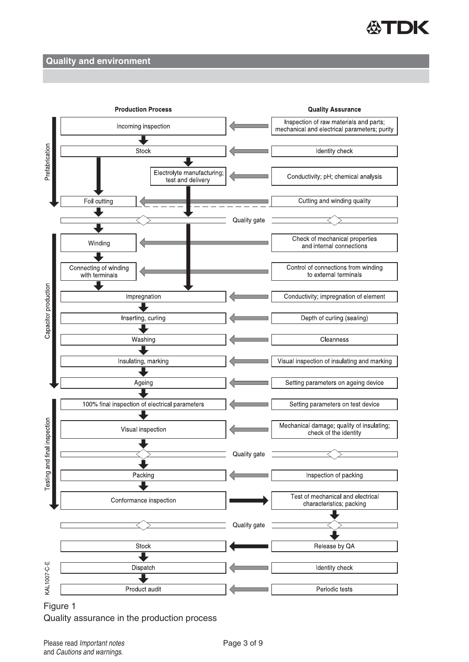



Figure 1 Quality assurance in the production process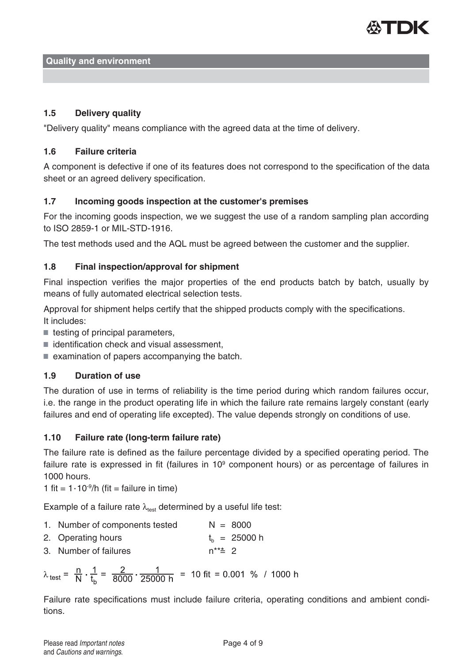

# **1.5 Delivery quality**

"Delivery quality" means compliance with the agreed data at the time of delivery.

## **1.6 Failure criteria**

A component is defective if one of its features does not correspond to the specification of the data sheet or an agreed delivery specification.

## **1.7 Incoming goods inspection at the customer's premises**

For the incoming goods inspection, we we suggest the use of a random sampling plan according to ISO 2859-1 or MIL-STD-1916.

The test methods used and the AQL must be agreed between the customer and the supplier.

# **1.8 Final inspection/approval for shipment**

Final inspection verifies the major properties of the end products batch by batch, usually by means of fully automated electrical selection tests.

Approval for shipment helps certify that the shipped products comply with the specifications. It includes:

- $\blacksquare$  testing of principal parameters,
- $\blacksquare$  identification check and visual assessment,
- $\blacksquare$  examination of papers accompanying the batch.

# **1.9 Duration of use**

The duration of use in terms of reliability is the time period during which random failures occur, i.e. the range in the product operating life in which the failure rate remains largely constant (early failures and end of operating life excepted). The value depends strongly on conditions of use.

# **1.10 Failure rate (long-term failure rate)**

The failure rate is defined as the failure percentage divided by a specified operating period. The failure rate is expressed in fit (failures in  $10<sup>9</sup>$  component hours) or as percentage of failures in 1000 hours.

1 fit =  $1.10^9/h$  (fit = failure in time)

Example of a failure rate  $\lambda_{test}$  determined by a useful life test:

- 1. Number of components tested  $N = 8000$
- 2. Operating hours  $t_b = 25000$  h
- 3. Number of failures  $n^{**}$  2

$$
\lambda_{\text{test}} = \frac{n}{N} \cdot \frac{1}{t_b} = \frac{2}{8000} \cdot \frac{1}{25000 \text{ h}} = 10 \text{ fit} = 0.001 \text{ % } / 1000 \text{ h}
$$

Failure rate specifications must include failure criteria, operating conditions and ambient conditions.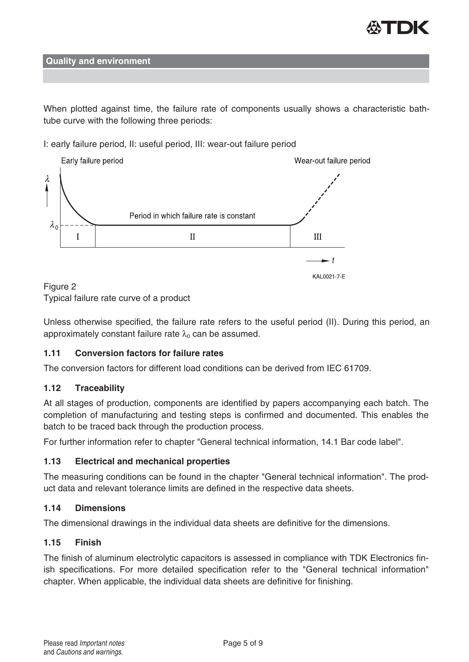

When plotted against time, the failure rate of components usually shows a characteristic bathtube curve with the following three periods:

I: early failure period, II: useful period, III: wear-out failure period



## Figure 2 Typical failure rate curve of a product

Unless otherwise specified, the failure rate refers to the useful period (II). During this period, an approximately constant failure rate  $\lambda_0$  can be assumed.

# **1.11 Conversion factors for failure rates**

The conversion factors for different load conditions can be derived from IEC 61709.

# **1.12 Traceability**

At all stages of production, components are identified by papers accompanying each batch. The completion of manufacturing and testing steps is confirmed and documented. This enables the batch to be traced back through the production process.

For further information refer to chapter "General technical information, 14.1 Bar code label".

# **1.13 Electrical and mechanical properties**

The measuring conditions can be found in the chapter "General technical information". The product data and relevant tolerance limits are defined in the respective data sheets.

# **1.14 Dimensions**

The dimensional drawings in the individual data sheets are definitive for the dimensions.

# **1.15 Finish**

The finish of aluminum electrolytic capacitors is assessed in compliance with TDK Electronics finish specifications. For more detailed specification refer to the "General technical information" chapter. When applicable, the individual data sheets are definitive for finishing.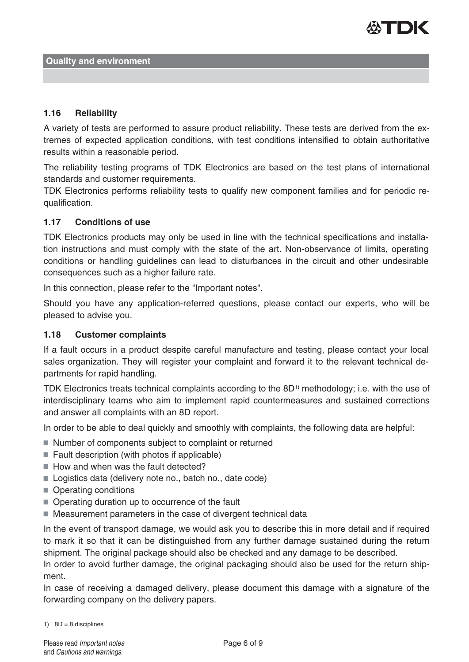

## **1.16 Reliability**

A variety of tests are performed to assure product reliability. These tests are derived from the extremes of expected application conditions, with test conditions intensified to obtain authoritative results within a reasonable period.

The reliability testing programs of TDK Electronics are based on the test plans of international standards and customer requirements.

TDK Electronics performs reliability tests to qualify new component families and for periodic requalification.

#### **1.17 Conditions of use**

TDK Electronics products may only be used in line with the technical specifications and installation instructions and must comply with the state of the art. Non-observance of limits, operating conditions or handling guidelines can lead to disturbances in the circuit and other undesirable consequences such as a higher failure rate.

In this connection, please refer to the "Important notes".

Should you have any application-referred questions, please contact our experts, who will be pleased to advise you.

#### **1.18 Customer complaints**

If a fault occurs in a product despite careful manufacture and testing, please contact your local sales organization. They will register your complaint and forward it to the relevant technical departments for rapid handling.

TDK Electronics treats technical complaints according to the 8D<sup>1)</sup> methodology; i.e. with the use of interdisciplinary teams who aim to implement rapid countermeasures and sustained corrections and answer all complaints with an 8D report.

In order to be able to deal quickly and smoothly with complaints, the following data are helpful:

- Number of components subject to complaint or returned
- $\blacksquare$  Fault description (with photos if applicable)
- How and when was the fault detected?
- Logistics data (delivery note no., batch no., date code)
- Operating conditions
- Operating duration up to occurrence of the fault
- Measurement parameters in the case of divergent technical data

In the event of transport damage, we would ask you to describe this in more detail and if required to mark it so that it can be distinguished from any further damage sustained during the return shipment. The original package should also be checked and any damage to be described.

In order to avoid further damage, the original packaging should also be used for the return shipment.

In case of receiving a damaged delivery, please document this damage with a signature of the forwarding company on the delivery papers.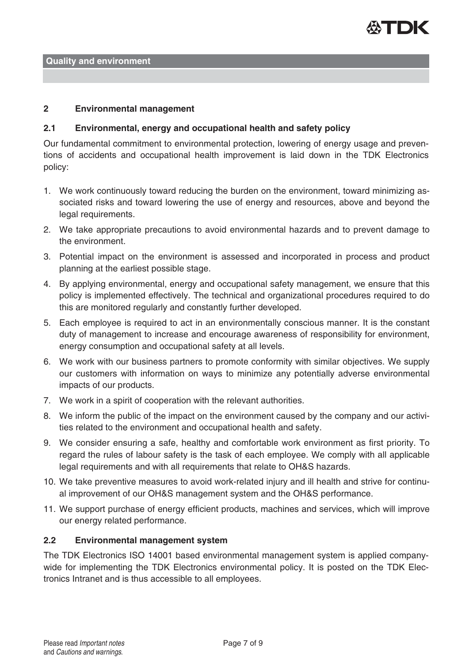

#### **2 Environmental management**

#### **2.1 Environmental, energy and occupational health and safety policy**

Our fundamental commitment to environmental protection, lowering of energy usage and preventions of accidents and occupational health improvement is laid down in the TDK Electronics policy:

- 1. We work continuously toward reducing the burden on the environment, toward minimizing associated risks and toward lowering the use of energy and resources, above and beyond the legal requirements.
- 2. We take appropriate precautions to avoid environmental hazards and to prevent damage to the environment.
- 3. Potential impact on the environment is assessed and incorporated in process and product planning at the earliest possible stage.
- 4. By applying environmental, energy and occupational safety management, we ensure that this policy is implemented effectively. The technical and organizational procedures required to do this are monitored regularly and constantly further developed.
- 5. Each employee is required to act in an environmentally conscious manner. It is the constant duty of management to increase and encourage awareness of responsibility for environment, energy consumption and occupational safety at all levels.
- 6. We work with our business partners to promote conformity with similar objectives. We supply our customers with information on ways to minimize any potentially adverse environmental impacts of our products.
- 7. We work in a spirit of cooperation with the relevant authorities.
- 8. We inform the public of the impact on the environment caused by the company and our activities related to the environment and occupational health and safety.
- 9. We consider ensuring a safe, healthy and comfortable work environment as first priority. To regard the rules of labour safety is the task of each employee. We comply with all applicable legal requirements and with all requirements that relate to OH&S hazards.
- 10. We take preventive measures to avoid work-related injury and ill health and strive for continual improvement of our OH&S management system and the OH&S performance.
- 11. We support purchase of energy efficient products, machines and services, which will improve our energy related performance.

#### **2.2 Environmental management system**

The TDK Electronics ISO 14001 based environmental management system is applied companywide for implementing the TDK Electronics environmental policy. It is posted on the TDK Electronics Intranet and is thus accessible to all employees.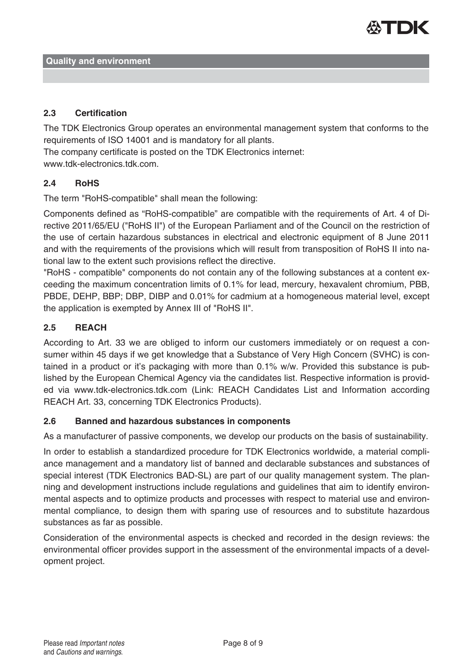

# **2.3 Certification**

The TDK Electronics Group operates an environmental management system that conforms to the requirements of ISO 14001 and is mandatory for all plants.

The company certificate is posted on the TDK Electronics internet:

www.tdk-electronics.tdk.com.

## **2.4 RoHS**

The term "RoHS-compatible" shall mean the following:

Components defined as "RoHS-compatible" are compatible with the requirements of Art. 4 of Directive 2011/65/EU ("RoHS II") of the European Parliament and of the Council on the restriction of the use of certain hazardous substances in electrical and electronic equipment of 8 June 2011 and with the requirements of the provisions which will result from transposition of RoHS II into national law to the extent such provisions reflect the directive.

"RoHS - compatible" components do not contain any of the following substances at a content exceeding the maximum concentration limits of 0.1% for lead, mercury, hexavalent chromium, PBB, PBDE, DEHP, BBP; DBP, DIBP and 0.01% for cadmium at a homogeneous material level, except the application is exempted by Annex III of "RoHS II".

# **2.5 REACH**

According to Art. 33 we are obliged to inform our customers immediately or on request a consumer within 45 days if we get knowledge that a Substance of Very High Concern (SVHC) is contained in a product or it's packaging with more than 0.1% w/w. Provided this substance is published by the European Chemical Agency via the candidates list. Respective information is provided via www.tdk-electronics.tdk.com (Link: REACH Candidates List and Information according REACH Art. 33, concerning TDK Electronics Products).

# **2.6 Banned and hazardous substances in components**

As a manufacturer of passive components, we develop our products on the basis of sustainability.

In order to establish a standardized procedure for TDK Electronics worldwide, a material compliance management and a mandatory list of banned and declarable substances and substances of special interest (TDK Electronics BAD-SL) are part of our quality management system. The planning and development instructions include regulations and guidelines that aim to identify environmental aspects and to optimize products and processes with respect to material use and environmental compliance, to design them with sparing use of resources and to substitute hazardous substances as far as possible.

Consideration of the environmental aspects is checked and recorded in the design reviews: the environmental officer provides support in the assessment of the environmental impacts of a development project.